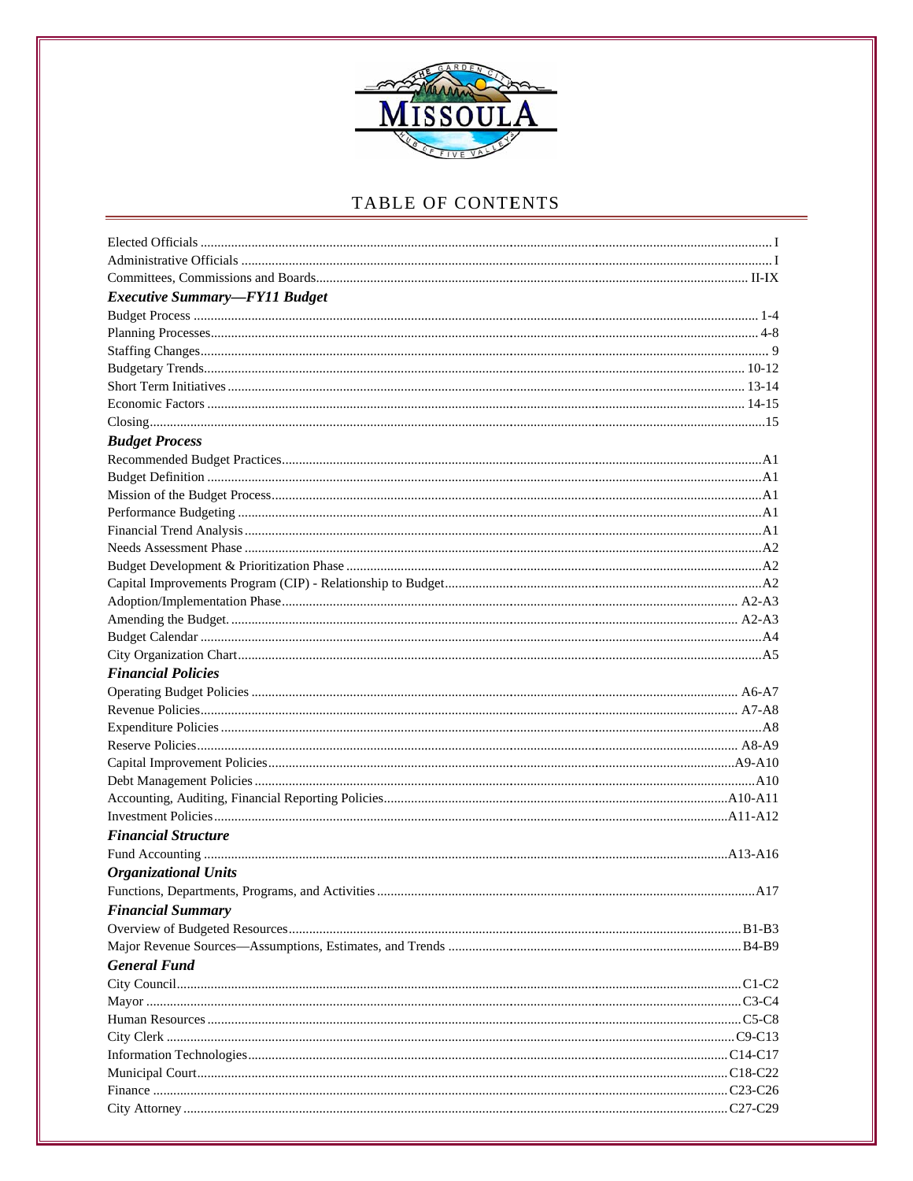

| <b>Executive Summary-FY11 Budget</b> |  |
|--------------------------------------|--|
|                                      |  |
|                                      |  |
|                                      |  |
|                                      |  |
|                                      |  |
|                                      |  |
|                                      |  |
| <b>Budget Process</b>                |  |
|                                      |  |
|                                      |  |
|                                      |  |
|                                      |  |
|                                      |  |
|                                      |  |
|                                      |  |
|                                      |  |
|                                      |  |
|                                      |  |
|                                      |  |
|                                      |  |
| <b>Financial Policies</b>            |  |
|                                      |  |
|                                      |  |
|                                      |  |
|                                      |  |
|                                      |  |
|                                      |  |
|                                      |  |
|                                      |  |
| <b>Financial Structure</b>           |  |
|                                      |  |
| <b>Organizational Units</b>          |  |
|                                      |  |
| <b>Financial Summary</b>             |  |
|                                      |  |
|                                      |  |
| <b>General Fund</b>                  |  |
|                                      |  |
|                                      |  |
|                                      |  |
|                                      |  |
|                                      |  |
|                                      |  |
|                                      |  |
|                                      |  |
|                                      |  |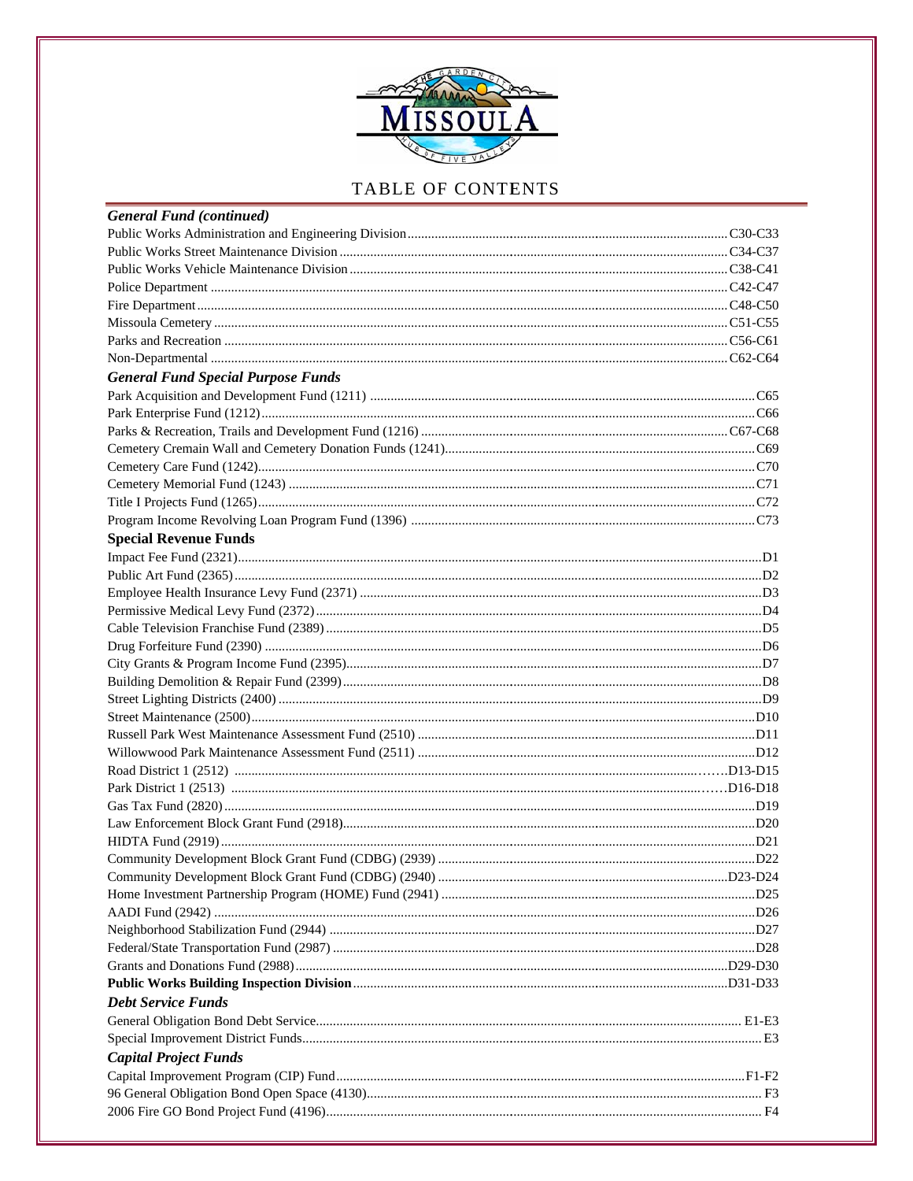

| <b>General Fund (continued)</b>           |  |
|-------------------------------------------|--|
|                                           |  |
|                                           |  |
|                                           |  |
|                                           |  |
|                                           |  |
|                                           |  |
|                                           |  |
|                                           |  |
| <b>General Fund Special Purpose Funds</b> |  |
|                                           |  |
|                                           |  |
|                                           |  |
|                                           |  |
|                                           |  |
|                                           |  |
|                                           |  |
|                                           |  |
| <b>Special Revenue Funds</b>              |  |
|                                           |  |
|                                           |  |
|                                           |  |
|                                           |  |
|                                           |  |
|                                           |  |
|                                           |  |
|                                           |  |
|                                           |  |
|                                           |  |
|                                           |  |
|                                           |  |
|                                           |  |
|                                           |  |
|                                           |  |
|                                           |  |
|                                           |  |
|                                           |  |
|                                           |  |
|                                           |  |
|                                           |  |
|                                           |  |
|                                           |  |
|                                           |  |
|                                           |  |
| <b>Debt Service Funds</b>                 |  |
|                                           |  |
|                                           |  |
| <b>Capital Project Funds</b>              |  |
|                                           |  |
|                                           |  |
|                                           |  |
|                                           |  |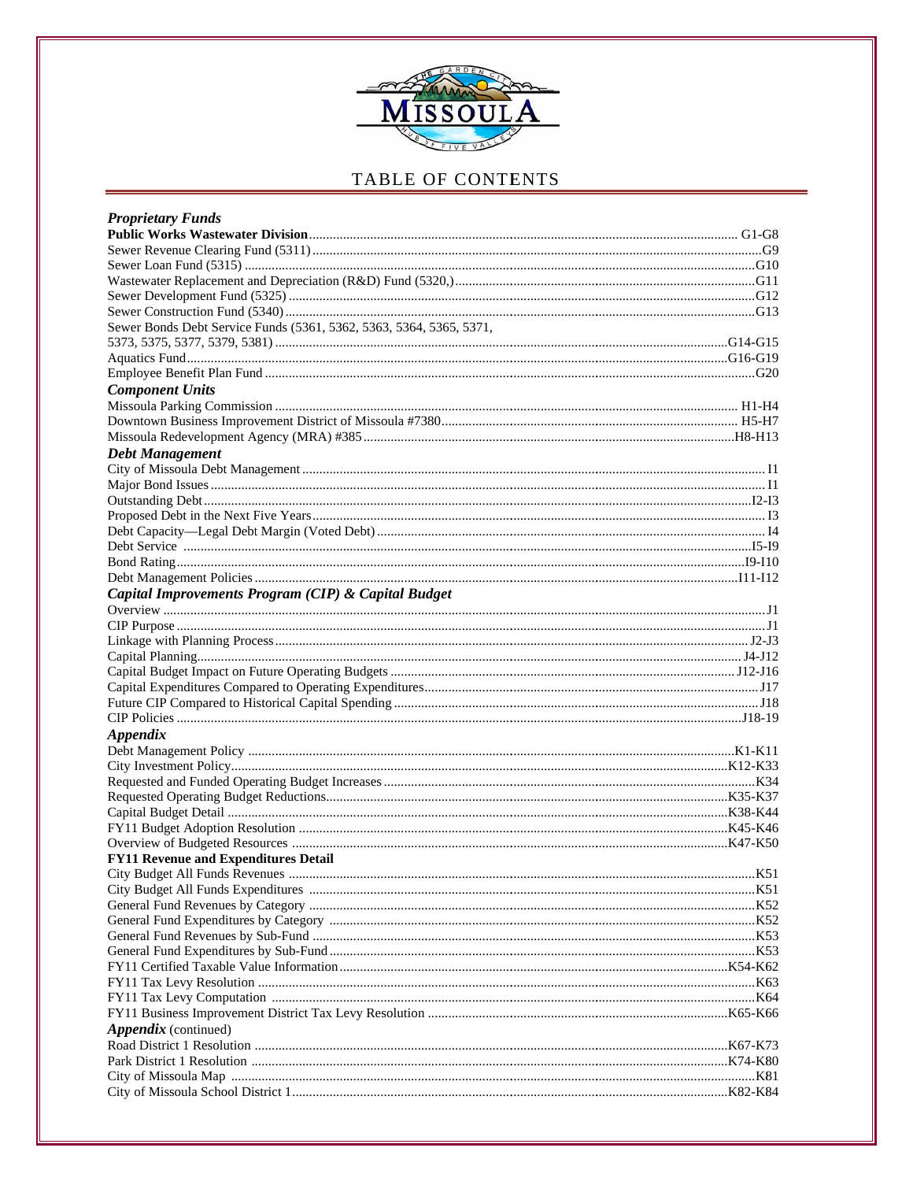

| <b>Proprietary Funds</b>                                            |  |
|---------------------------------------------------------------------|--|
|                                                                     |  |
|                                                                     |  |
|                                                                     |  |
|                                                                     |  |
|                                                                     |  |
|                                                                     |  |
| Sewer Bonds Debt Service Funds (5361, 5362, 5363, 5364, 5365, 5371, |  |
|                                                                     |  |
|                                                                     |  |
|                                                                     |  |
| <b>Component Units</b>                                              |  |
|                                                                     |  |
|                                                                     |  |
|                                                                     |  |
| <b>Debt Management</b>                                              |  |
|                                                                     |  |
|                                                                     |  |
|                                                                     |  |
|                                                                     |  |
|                                                                     |  |
|                                                                     |  |
|                                                                     |  |
|                                                                     |  |
| Capital Improvements Program (CIP) & Capital Budget                 |  |
|                                                                     |  |
|                                                                     |  |
|                                                                     |  |
|                                                                     |  |
|                                                                     |  |
|                                                                     |  |
|                                                                     |  |
|                                                                     |  |
| <b>Appendix</b>                                                     |  |
|                                                                     |  |
|                                                                     |  |
|                                                                     |  |
|                                                                     |  |
|                                                                     |  |
|                                                                     |  |
|                                                                     |  |
| <b>FY11 Revenue and Expenditures Detail</b>                         |  |
|                                                                     |  |
|                                                                     |  |
|                                                                     |  |
|                                                                     |  |
|                                                                     |  |
|                                                                     |  |
|                                                                     |  |
|                                                                     |  |
|                                                                     |  |
|                                                                     |  |
| <i>Appendix</i> (continued)                                         |  |
|                                                                     |  |
|                                                                     |  |
|                                                                     |  |
|                                                                     |  |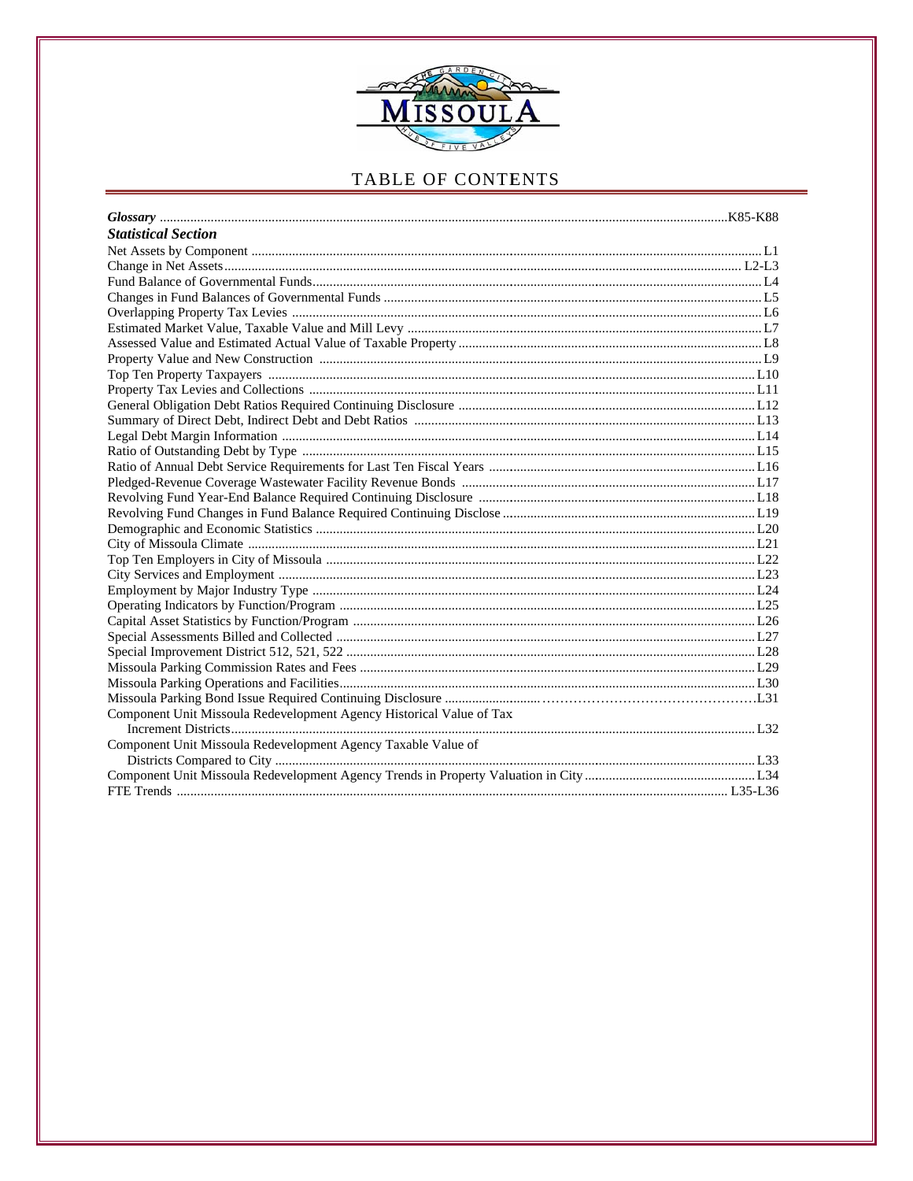

| <b>Statistical Section</b>                                           |  |
|----------------------------------------------------------------------|--|
|                                                                      |  |
|                                                                      |  |
|                                                                      |  |
|                                                                      |  |
|                                                                      |  |
|                                                                      |  |
|                                                                      |  |
|                                                                      |  |
|                                                                      |  |
|                                                                      |  |
|                                                                      |  |
|                                                                      |  |
|                                                                      |  |
|                                                                      |  |
|                                                                      |  |
|                                                                      |  |
|                                                                      |  |
|                                                                      |  |
|                                                                      |  |
|                                                                      |  |
|                                                                      |  |
|                                                                      |  |
|                                                                      |  |
|                                                                      |  |
|                                                                      |  |
|                                                                      |  |
|                                                                      |  |
|                                                                      |  |
|                                                                      |  |
|                                                                      |  |
| Component Unit Missoula Redevelopment Agency Historical Value of Tax |  |
|                                                                      |  |
| Component Unit Missoula Redevelopment Agency Taxable Value of        |  |
|                                                                      |  |
|                                                                      |  |
|                                                                      |  |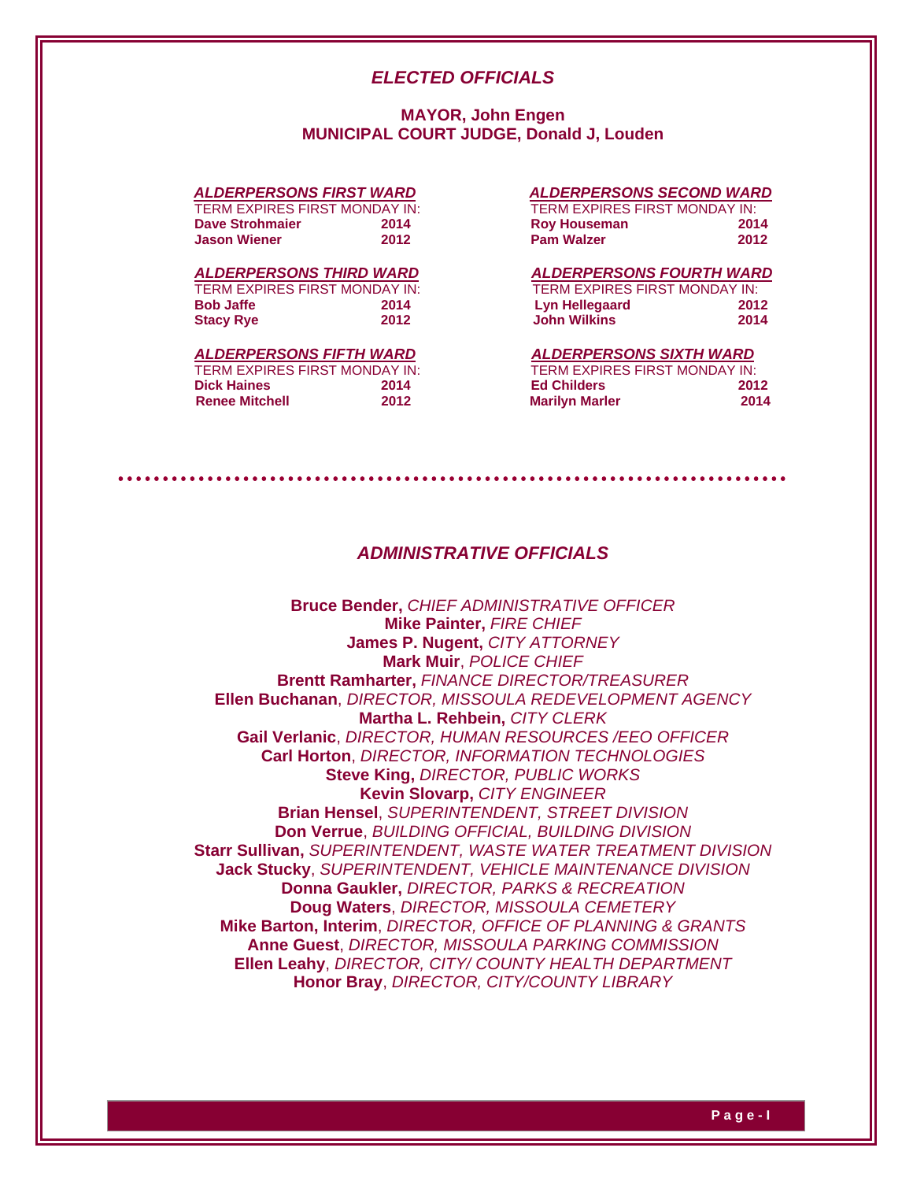## *ELECTED OFFICIALS*

## **MAYOR, John Engen MUNICIPAL COURT JUDGE, Donald J, Louden**

| TERM EXPIRES FIRST MONDAY IN: |      | TERM EXPIRES FIRST MONDAY IN: |     |
|-------------------------------|------|-------------------------------|-----|
| Dave Strohmaier               | 2014 | <b>Roy Houseman</b>           | 201 |
| <b>Jason Wiener</b>           | 2012 | <b>Pam Walzer</b>             | 201 |

#### *ALDERPERSONS THIRD WARD ALDERPERSONS FOURTH WARD*

TERM EXPIRES FIRST MONDAY IN:<br>Bob Jaffe 2014 **Stacy Rye 2012** 

## *ALDERPERSONS FIFTH WARD ALDERPERSONS SIXTH WARD*

| TERM EXPIRES FIRST MONDAY IN: |      |
|-------------------------------|------|
| Dick Haines                   | 2014 |
| Renee Mitchell                | 2012 |

#### *ALDERPERSONS FIRST WARD ALDERPERSONS SECOND WARD*

| TERM EXPIRES FIRST MONDAY IN: |      | TERM EXPIRES FIRST MONDAY IN: |      |
|-------------------------------|------|-------------------------------|------|
| Dave Strohmaier               | 2014 | <b>Roy Houseman</b>           | 2014 |
| <b>Jason Wiener</b>           | 2012 | <b>Pam Walzer</b>             | 2012 |

| TERM EXPIRES FIRST MONDAY IN: |      | TERM EXPIRES FIRST MONDAY IN: |      |
|-------------------------------|------|-------------------------------|------|
| Bob Jaffe                     | 2014 | Lyn Hellegaard                | 2012 |
| <b>Stacy Rye</b>              | 2012 | <b>John Wilkins</b>           | 2014 |

| TERM EXPIRES FIRST MONDAY IN: |      | TERM EXPIRES FIRST MONDAY IN: |      |
|-------------------------------|------|-------------------------------|------|
| <b>Dick Haines</b>            | 2014 | <b>Ed Childers</b>            | 2012 |
| <b>Renee Mitchell</b>         | 2012 | <b>Marilyn Marler</b>         | 2014 |

## *ADMINISTRATIVE OFFICIALS*

**Bruce Bender,** *CHIEF ADMINISTRATIVE OFFICER* **Mike Painter,** *FIRE CHIEF* **James P. Nugent,** *CITY ATTORNEY* **Mark Muir**, *POLICE CHIEF*  **Brentt Ramharter,** *FINANCE DIRECTOR/TREASURER* **Ellen Buchanan**, *DIRECTOR, MISSOULA REDEVELOPMENT AGENCY* **Martha L. Rehbein,** *CITY CLERK*  **Gail Verlanic**, *DIRECTOR, HUMAN RESOURCES /EEO OFFICER* **Carl Horton**, *DIRECTOR, INFORMATION TECHNOLOGIES* **Steve King,** *DIRECTOR, PUBLIC WORKS* **Kevin Slovarp,** *CITY ENGINEER* **Brian Hensel**, *SUPERINTENDENT, STREET DIVISION*  **Don Verrue**, *BUILDING OFFICIAL, BUILDING DIVISION*  **Starr Sullivan,** *SUPERINTENDENT, WASTE WATER TREATMENT DIVISION* **Jack Stucky**, *SUPERINTENDENT, VEHICLE MAINTENANCE DIVISION*  **Donna Gaukler,** *DIRECTOR, PARKS & RECREATION* **Doug Waters**, *DIRECTOR, MISSOULA CEMETERY* **Mike Barton, Interim**, *DIRECTOR, OFFICE OF PLANNING & GRANTS*  **Anne Guest**, *DIRECTOR, MISSOULA PARKING COMMISSION*  **Ellen Leahy**, *DIRECTOR, CITY/ COUNTY HEALTH DEPARTMENT*  **Honor Bray**, *DIRECTOR, CITY/COUNTY LIBRARY*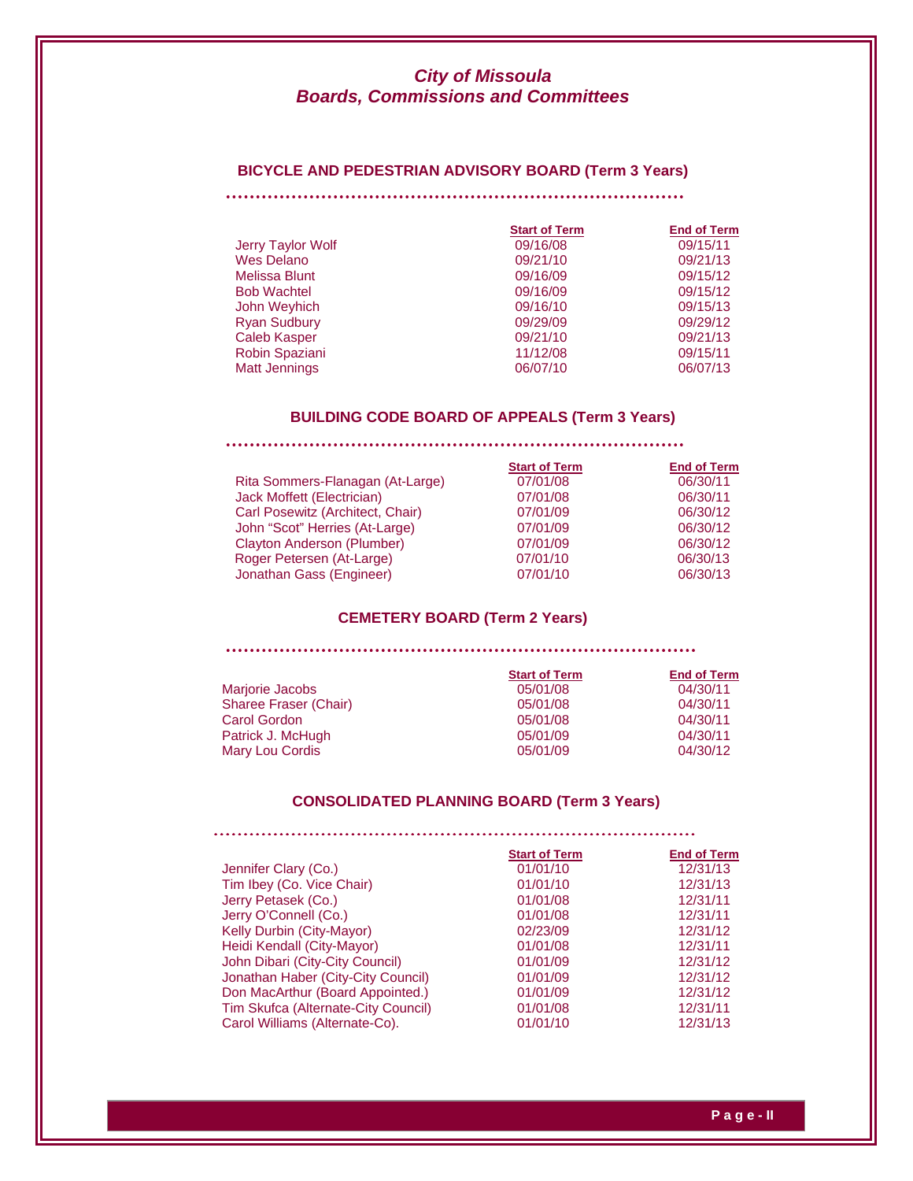#### **BICYCLE AND PEDESTRIAN ADVISORY BOARD (Term 3 Years)**

|                      | <b>Start of Term</b> | <b>End of Term</b> |
|----------------------|----------------------|--------------------|
| Jerry Taylor Wolf    | 09/16/08             | 09/15/11           |
| <b>Wes Delano</b>    | 09/21/10             | 09/21/13           |
| Melissa Blunt        | 09/16/09             | 09/15/12           |
| <b>Bob Wachtel</b>   | 09/16/09             | 09/15/12           |
| John Weyhich         | 09/16/10             | 09/15/13           |
| <b>Ryan Sudbury</b>  | 09/29/09             | 09/29/12           |
| <b>Caleb Kasper</b>  | 09/21/10             | 09/21/13           |
| Robin Spaziani       | 11/12/08             | 09/15/11           |
| <b>Matt Jennings</b> | 06/07/10             | 06/07/13           |

## **BUILDING CODE BOARD OF APPEALS (Term 3 Years)**

|                                  | <b>Start of Term</b> | <b>End of Term</b> |
|----------------------------------|----------------------|--------------------|
| Rita Sommers-Flanagan (At-Large) | 07/01/08             | 06/30/11           |
| Jack Moffett (Electrician)       | 07/01/08             | 06/30/11           |
| Carl Posewitz (Architect, Chair) | 07/01/09             | 06/30/12           |
| John "Scot" Herries (At-Large)   | 07/01/09             | 06/30/12           |
| Clayton Anderson (Plumber)       | 07/01/09             | 06/30/12           |
| Roger Petersen (At-Large)        | 07/01/10             | 06/30/13           |
| Jonathan Gass (Engineer)         | 07/01/10             | 06/30/13           |

## **CEMETERY BOARD (Term 2 Years)**

|                       | <b>Start of Term</b> | <b>End of Term</b> |
|-----------------------|----------------------|--------------------|
| Marjorie Jacobs       | 05/01/08             | 04/30/11           |
| Sharee Fraser (Chair) | 05/01/08             | 04/30/11           |
| Carol Gordon          | 05/01/08             | 04/30/11           |
| Patrick J. McHugh     | 05/01/09             | 04/30/11           |
| Mary Lou Cordis       | 05/01/09             | 04/30/12           |

## **CONSOLIDATED PLANNING BOARD (Term 3 Years)**

|                                     | <b>Start of Term</b> | <b>End of Term</b> |
|-------------------------------------|----------------------|--------------------|
| Jennifer Clary (Co.)                | 01/01/10             | 12/31/13           |
| Tim Ibey (Co. Vice Chair)           | 01/01/10             | 12/31/13           |
| Jerry Petasek (Co.)                 | 01/01/08             | 12/31/11           |
| Jerry O'Connell (Co.)               | 01/01/08             | 12/31/11           |
| Kelly Durbin (City-Mayor)           | 02/23/09             | 12/31/12           |
| Heidi Kendall (City-Mayor)          | 01/01/08             | 12/31/11           |
| John Dibari (City-City Council)     | 01/01/09             | 12/31/12           |
| Jonathan Haber (City-City Council)  | 01/01/09             | 12/31/12           |
| Don MacArthur (Board Appointed.)    | 01/01/09             | 12/31/12           |
| Tim Skufca (Alternate-City Council) | 01/01/08             | 12/31/11           |
| Carol Williams (Alternate-Co).      | 01/01/10             | 12/31/13           |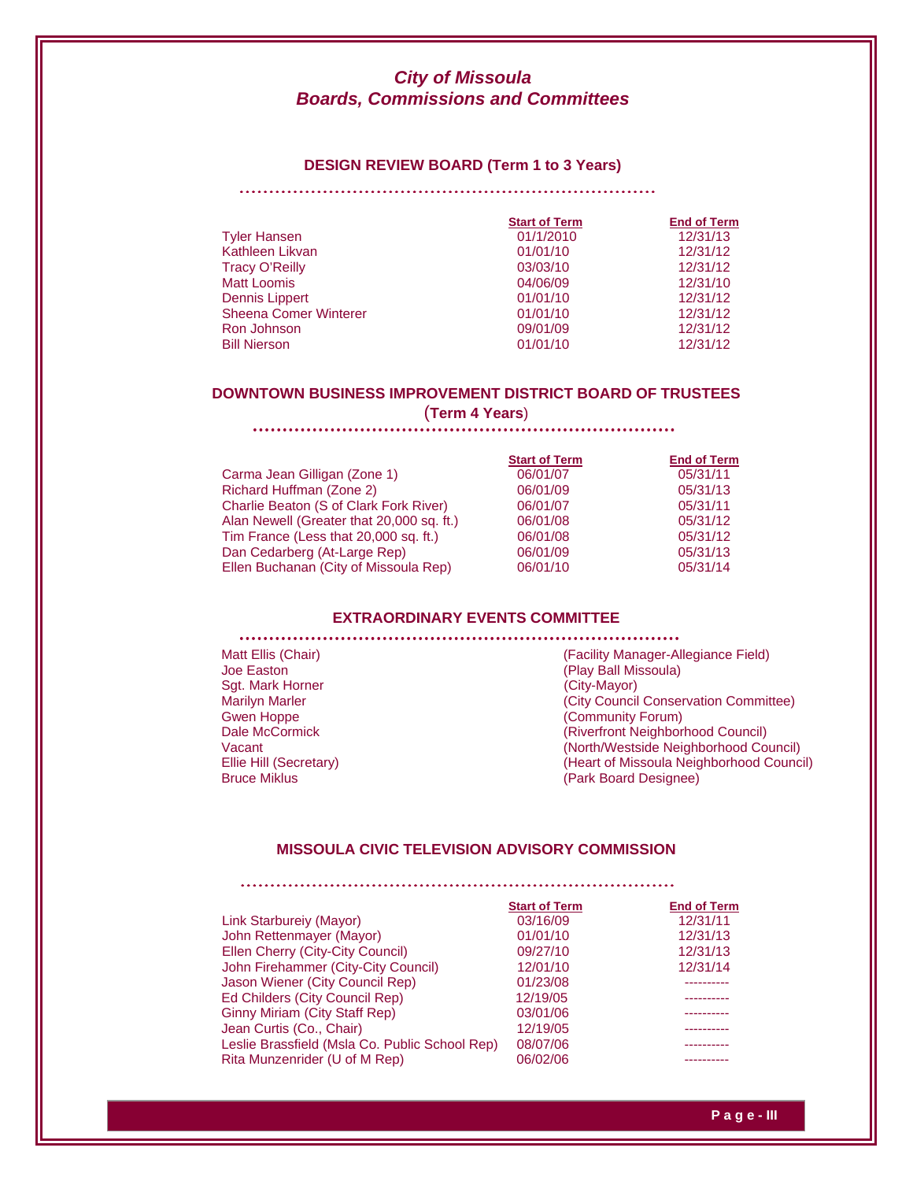#### **DESIGN REVIEW BOARD (Term 1 to 3 Years)**

#### 

|                              | <b>Start of Term</b> | <b>End of Term</b> |
|------------------------------|----------------------|--------------------|
| <b>Tyler Hansen</b>          | 01/1/2010            | 12/31/13           |
| Kathleen Likvan              | 01/01/10             | 12/31/12           |
| <b>Tracy O'Reilly</b>        | 03/03/10             | 12/31/12           |
| <b>Matt Loomis</b>           | 04/06/09             | 12/31/10           |
| Dennis Lippert               | 01/01/10             | 12/31/12           |
| <b>Sheena Comer Winterer</b> | 01/01/10             | 12/31/12           |
| Ron Johnson                  | 09/01/09             | 12/31/12           |
| <b>Bill Nierson</b>          | 01/01/10             | 12/31/12           |

## **DOWNTOWN BUSINESS IMPROVEMENT DISTRICT BOARD OF TRUSTEES**

(**Term 4 Years**)

|                                           | <b>Start of Term</b> | <b>End of Term</b> |
|-------------------------------------------|----------------------|--------------------|
| Carma Jean Gilligan (Zone 1)              | 06/01/07             | 05/31/11           |
| Richard Huffman (Zone 2)                  | 06/01/09             | 05/31/13           |
| Charlie Beaton (S of Clark Fork River)    | 06/01/07             | 05/31/11           |
| Alan Newell (Greater that 20,000 sq. ft.) | 06/01/08             | 05/31/12           |
| Tim France (Less that 20,000 sq. ft.)     | 06/01/08             | 05/31/12           |
| Dan Cedarberg (At-Large Rep)              | 06/01/09             | 05/31/13           |
| Ellen Buchanan (City of Missoula Rep)     | 06/01/10             | 05/31/14           |
|                                           |                      |                    |

#### **EXTRAORDINARY EVENTS COMMITTEE**

Sgt. Mark Horner (City-Mayor)

Matt Ellis (Chair) **Matt Ellis (Chair)** (Facility Manager-Allegiance Field) Joe Easton(Play Ball Missoula) Marilyn Marler **Marilyn Mariler (City Council Conservation Committee)** Gwen Hoppe (Community Forum)<br>
Dale McCormick (Riverfront Neighborl) (Riverfront Neighborhood Council) Vacant (North/Westside Neighborhood Council) Ellie Hill (Secretary) (Heart of Missoula Neighborhood Council)<br>Bruce Miklus (Park Board Designee) (Park Board Designee)

## **MISSOULA CIVIC TELEVISION ADVISORY COMMISSION**

|                                                | <b>Start of Term</b> | <b>End of Term</b> |
|------------------------------------------------|----------------------|--------------------|
| Link Starbureiy (Mayor)                        | 03/16/09             | 12/31/11           |
| John Rettenmayer (Mayor)                       | 01/01/10             | 12/31/13           |
| Ellen Cherry (City-City Council)               | 09/27/10             | 12/31/13           |
| John Firehammer (City-City Council)            | 12/01/10             | 12/31/14           |
| Jason Wiener (City Council Rep)                | 01/23/08             |                    |
| Ed Childers (City Council Rep)                 | 12/19/05             |                    |
| <b>Ginny Miriam (City Staff Rep)</b>           | 03/01/06             |                    |
| Jean Curtis (Co., Chair)                       | 12/19/05             |                    |
| Leslie Brassfield (Msla Co. Public School Rep) | 08/07/06             |                    |
| Rita Munzenrider (U of M Rep)                  | 06/02/06             |                    |
|                                                |                      |                    |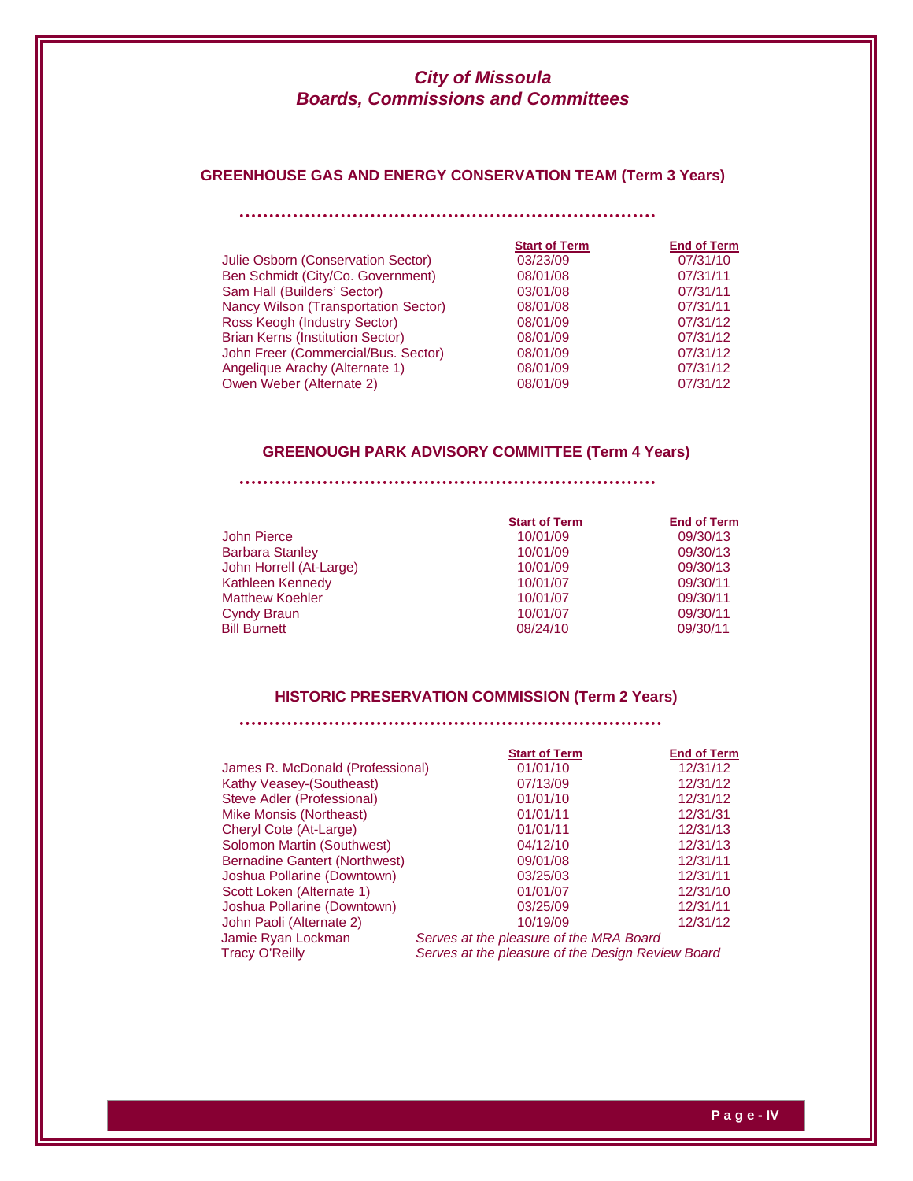# **GREENHOUSE GAS AND ENERGY CONSERVATION TEAM (Term 3 Years)**

| <b>Start of Term</b> | <b>End of Term</b> |
|----------------------|--------------------|
| 03/23/09             | 07/31/10           |
| 08/01/08             | 07/31/11           |
| 03/01/08             | 07/31/11           |
| 08/01/08             | 07/31/11           |
| 08/01/09             | 07/31/12           |
| 08/01/09             | 07/31/12           |
| 08/01/09             | 07/31/12           |
| 08/01/09             | 07/31/12           |
| 08/01/09             | 07/31/12           |
|                      |                    |

## **GREENOUGH PARK ADVISORY COMMITTEE (Term 4 Years)**

|                         | <b>Start of Term</b> | <b>End of Term</b> |
|-------------------------|----------------------|--------------------|
| John Pierce             | 10/01/09             | 09/30/13           |
| <b>Barbara Stanley</b>  | 10/01/09             | 09/30/13           |
| John Horrell (At-Large) | 10/01/09             | 09/30/13           |
| Kathleen Kennedy        | 10/01/07             | 09/30/11           |
| <b>Matthew Koehler</b>  | 10/01/07             | 09/30/11           |
| Cyndy Braun             | 10/01/07             | 09/30/11           |
| <b>Bill Burnett</b>     | 08/24/10             | 09/30/11           |

## **HISTORIC PRESERVATION COMMISSION (Term 2 Years)**

|                                      | <b>Start of Term</b>                              | <b>End of Term</b> |
|--------------------------------------|---------------------------------------------------|--------------------|
|                                      |                                                   |                    |
| James R. McDonald (Professional)     | 01/01/10                                          | 12/31/12           |
| Kathy Veasey-(Southeast)             | 07/13/09                                          | 12/31/12           |
| Steve Adler (Professional)           | 01/01/10                                          | 12/31/12           |
| Mike Monsis (Northeast)              | 01/01/11                                          | 12/31/31           |
| Cheryl Cote (At-Large)               | 01/01/11                                          | 12/31/13           |
| Solomon Martin (Southwest)           | 04/12/10                                          | 12/31/13           |
| <b>Bernadine Gantert (Northwest)</b> | 09/01/08                                          | 12/31/11           |
| Joshua Pollarine (Downtown)          | 03/25/03                                          | 12/31/11           |
| Scott Loken (Alternate 1)            | 01/01/07                                          | 12/31/10           |
| Joshua Pollarine (Downtown)          | 03/25/09                                          | 12/31/11           |
| John Paoli (Alternate 2)             | 10/19/09                                          | 12/31/12           |
| Jamie Ryan Lockman                   | Serves at the pleasure of the MRA Board           |                    |
| <b>Tracy O'Reilly</b>                | Serves at the pleasure of the Design Review Board |                    |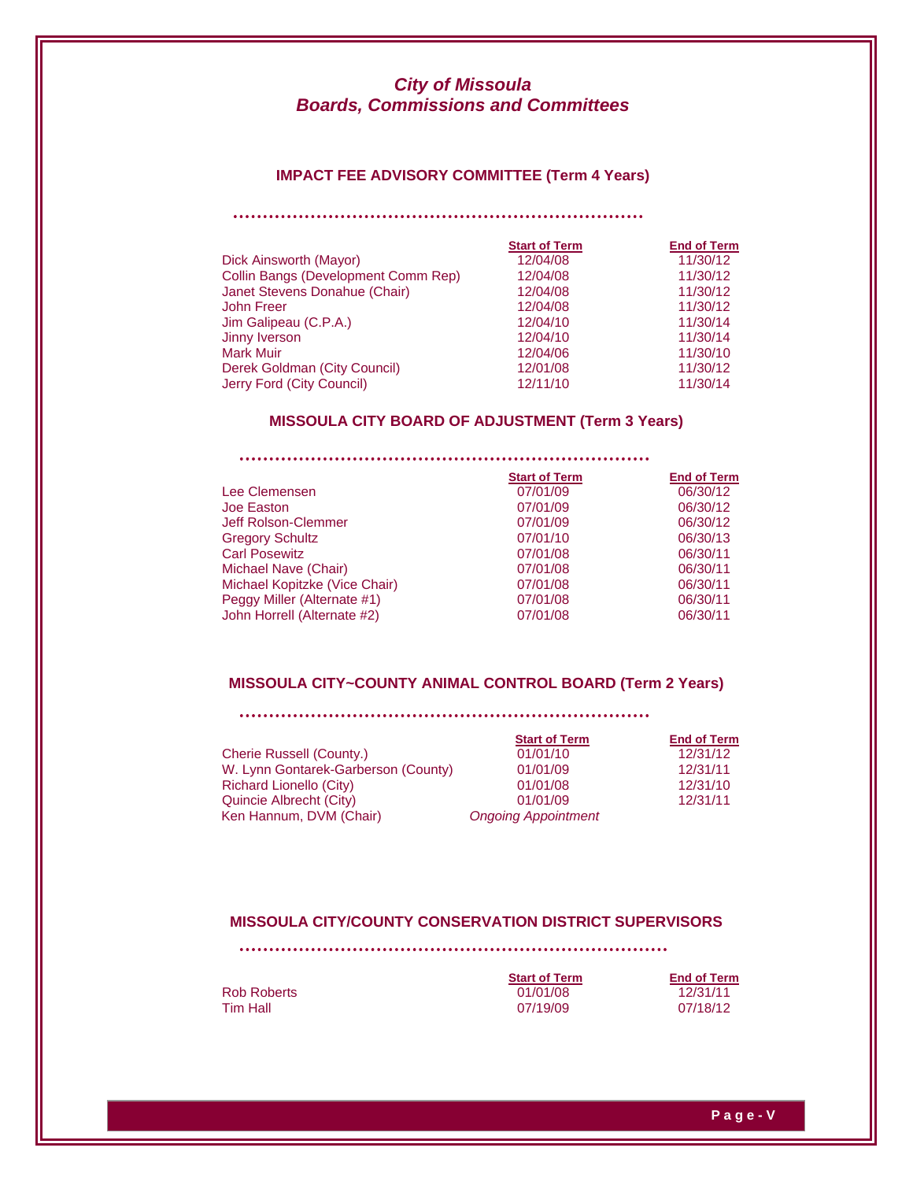## **IMPACT FEE ADVISORY COMMITTEE (Term 4 Years)**

|                                     | <b>Start of Term</b> | <b>End of Term</b> |
|-------------------------------------|----------------------|--------------------|
| Dick Ainsworth (Mayor)              | 12/04/08             | 11/30/12           |
| Collin Bangs (Development Comm Rep) | 12/04/08             | 11/30/12           |
| Janet Stevens Donahue (Chair)       | 12/04/08             | 11/30/12           |
| <b>John Freer</b>                   | 12/04/08             | 11/30/12           |
| Jim Galipeau (C.P.A.)               | 12/04/10             | 11/30/14           |
| Jinny Iverson                       | 12/04/10             | 11/30/14           |
| <b>Mark Muir</b>                    | 12/04/06             | 11/30/10           |
| Derek Goldman (City Council)        | 12/01/08             | 11/30/12           |
| Jerry Ford (City Council)           | 12/11/10             | 11/30/14           |

## **MISSOULA CITY BOARD OF ADJUSTMENT (Term 3 Years)**

|                               | <b>Start of Term</b> | <b>End of Term</b> |
|-------------------------------|----------------------|--------------------|
| Lee Clemensen                 | 07/01/09             | 06/30/12           |
| Joe Easton                    | 07/01/09             | 06/30/12           |
| Jeff Rolson-Clemmer           | 07/01/09             | 06/30/12           |
| <b>Gregory Schultz</b>        | 07/01/10             | 06/30/13           |
| <b>Carl Posewitz</b>          | 07/01/08             | 06/30/11           |
| Michael Nave (Chair)          | 07/01/08             | 06/30/11           |
| Michael Kopitzke (Vice Chair) | 07/01/08             | 06/30/11           |
| Peggy Miller (Alternate #1)   | 07/01/08             | 06/30/11           |
| John Horrell (Alternate #2)   | 07/01/08             | 06/30/11           |

## **MISSOULA CITY~COUNTY ANIMAL CONTROL BOARD (Term 2 Years)**

| Cherie Russell (County.)            | 01/01/10                   | 12/31/12 |
|-------------------------------------|----------------------------|----------|
| W. Lynn Gontarek-Garberson (County) | 01/01/09                   | 12/31/11 |
| Richard Lionello (City)             | 01/01/08                   | 12/31/10 |
| Quincie Albrecht (City)             | 01/01/09                   | 12/31/11 |
| Ken Hannum, DVM (Chair)             | <b>Ongoing Appointment</b> |          |

| <b>Start of Term</b> | <b>End of Term</b> |
|----------------------|--------------------|
| 01/01/10             | 12/31/12           |
| 01/01/09             | 12/31/11           |
| 01/01/08             | 12/31/10           |
| 01/01/09             | 12/31/11           |
| ngoing Appointment   |                    |

### **MISSOULA CITY/COUNTY CONSERVATION DISTRICT SUPERVISORS**

**<u>Start of Term</u>**<br>01/01/08 Rob Roberts **12/31/11**<br>
Rob Roberts **12/31/11**<br>
Tim Hall **12/31/11**<br>
07/19/09 07/18/12

12/31/11<br>07/18/12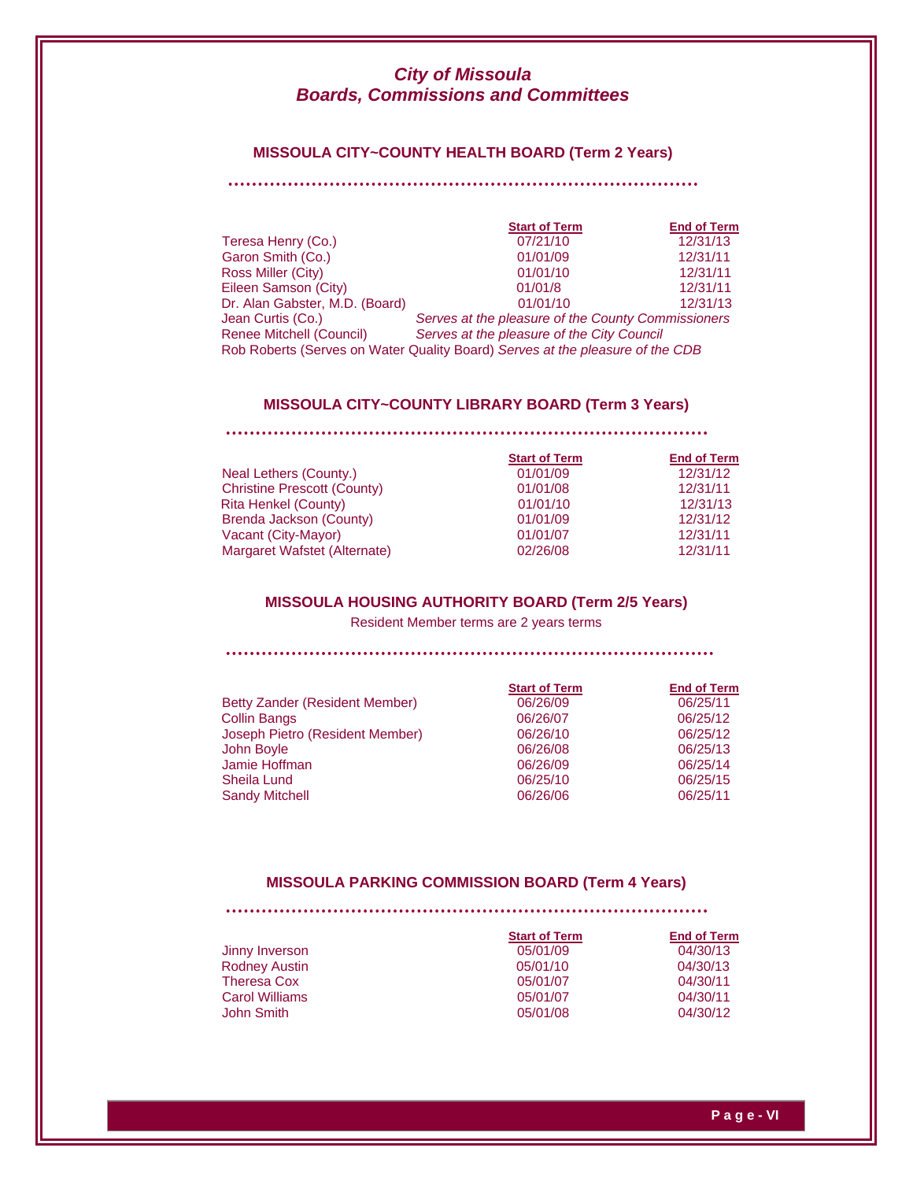## **MISSOULA CITY~COUNTY HEALTH BOARD (Term 2 Years)**

#### 

|                                | <b>Start of Term</b>                                                          | <b>End of Term</b> |
|--------------------------------|-------------------------------------------------------------------------------|--------------------|
| Teresa Henry (Co.)             | 07/21/10                                                                      | 12/31/13           |
| Garon Smith (Co.)              | 01/01/09                                                                      | 12/31/11           |
| Ross Miller (City)             | 01/01/10                                                                      | 12/31/11           |
| Eileen Samson (City)           | 01/01/8                                                                       | 12/31/11           |
| Dr. Alan Gabster, M.D. (Board) | 01/01/10                                                                      | 12/31/13           |
| Jean Curtis (Co.)              | Serves at the pleasure of the County Commissioners                            |                    |
| Renee Mitchell (Council)       | Serves at the pleasure of the City Council                                    |                    |
|                                | Rob Roberts (Serves on Water Quality Board) Serves at the pleasure of the CDB |                    |

### **MISSOULA CITY~COUNTY LIBRARY BOARD (Term 3 Years)**

#### 

|                                    | <b>Start of Term</b> | <b>End of Term</b> |
|------------------------------------|----------------------|--------------------|
| Neal Lethers (County.)             | 01/01/09             | 12/31/12           |
| <b>Christine Prescott (County)</b> | 01/01/08             | 12/31/11           |
| Rita Henkel (County)               | 01/01/10             | 12/31/13           |
| Brenda Jackson (County)            | 01/01/09             | 12/31/12           |
| Vacant (City-Mayor)                | 01/01/07             | 12/31/11           |
| Margaret Wafstet (Alternate)       | 02/26/08             | 12/31/11           |

## **MISSOULA HOUSING AUTHORITY BOARD (Term 2/5 Years)**

Resident Member terms are 2 years terms

|                                 | <b>Start of Term</b> | <b>End of Term</b> |
|---------------------------------|----------------------|--------------------|
| Betty Zander (Resident Member)  | 06/26/09             | 06/25/11           |
| <b>Collin Bangs</b>             | 06/26/07             | 06/25/12           |
| Joseph Pietro (Resident Member) | 06/26/10             | 06/25/12           |
| John Boyle                      | 06/26/08             | 06/25/13           |
| Jamie Hoffman                   | 06/26/09             | 06/25/14           |
| Sheila Lund                     | 06/25/10             | 06/25/15           |
| <b>Sandy Mitchell</b>           | 06/26/06             | 06/25/11           |

#### **MISSOULA PARKING COMMISSION BOARD (Term 4 Years)**

|                       | <b>Start of Term</b> | <b>End of Term</b> |
|-----------------------|----------------------|--------------------|
| Jinny Inverson        | 05/01/09             | 04/30/13           |
| <b>Rodney Austin</b>  | 05/01/10             | 04/30/13           |
| <b>Theresa Cox</b>    | 05/01/07             | 04/30/11           |
| <b>Carol Williams</b> | 05/01/07             | 04/30/11           |
| John Smith            | 05/01/08             | 04/30/12           |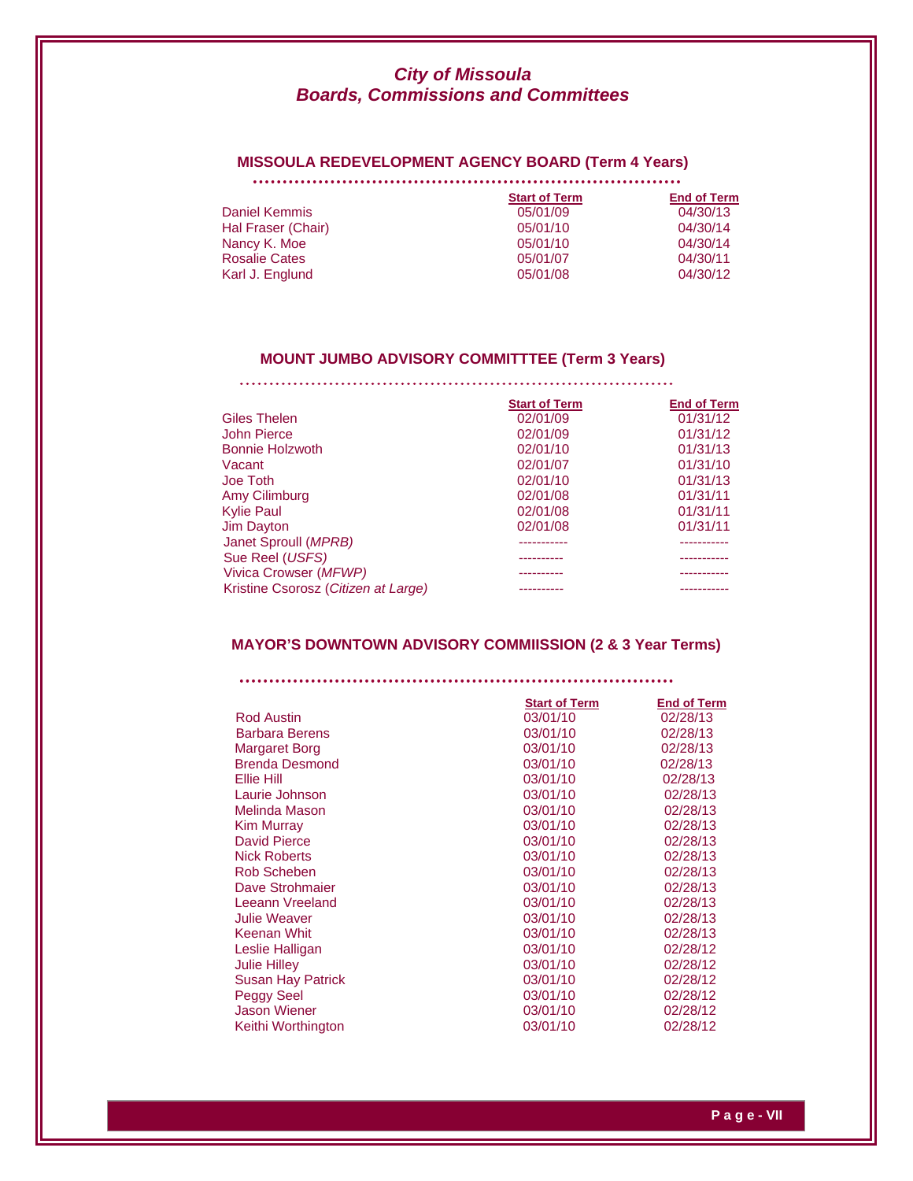## **MISSOULA REDEVELOPMENT AGENCY BOARD (Term 4 Years)**

|                      | <b>Start of Term</b> | <b>End of Term</b> |
|----------------------|----------------------|--------------------|
| Daniel Kemmis        | 05/01/09             | 04/30/13           |
| Hal Fraser (Chair)   | 05/01/10             | 04/30/14           |
| Nancy K. Moe         | 05/01/10             | 04/30/14           |
| <b>Rosalie Cates</b> | 05/01/07             | 04/30/11           |
| Karl J. Englund      | 05/01/08             | 04/30/12           |

#### **MOUNT JUMBO ADVISORY COMMITTTEE (Term 3 Years)**

|                                     | <b>Start of Term</b> | <b>End of Term</b> |
|-------------------------------------|----------------------|--------------------|
| Giles Thelen                        | 02/01/09             | 01/31/12           |
| John Pierce                         | 02/01/09             | 01/31/12           |
| Bonnie Holzwoth                     | 02/01/10             | 01/31/13           |
| Vacant                              | 02/01/07             | 01/31/10           |
| Joe Toth                            | 02/01/10             | 01/31/13           |
| Amy Cilimburg                       | 02/01/08             | 01/31/11           |
| <b>Kylie Paul</b>                   | 02/01/08             | 01/31/11           |
| Jim Dayton                          | 02/01/08             | 01/31/11           |
| Janet Sproull (MPRB)                |                      |                    |
| Sue Reel (USFS)                     |                      |                    |
| Vivica Crowser (MFWP)               |                      |                    |
| Kristine Csorosz (Citizen at Large) |                      |                    |

## **MAYOR'S DOWNTOWN ADVISORY COMMIISSION (2 & 3 Year Terms)**

|                          | <b>Start of Term</b> | <b>End of Term</b> |
|--------------------------|----------------------|--------------------|
| <b>Rod Austin</b>        | 03/01/10             | 02/28/13           |
| <b>Barbara Berens</b>    | 03/01/10             | 02/28/13           |
| <b>Margaret Borg</b>     | 03/01/10             | 02/28/13           |
| <b>Brenda Desmond</b>    | 03/01/10             | 02/28/13           |
| Ellie Hill               | 03/01/10             | 02/28/13           |
| Laurie Johnson           | 03/01/10             | 02/28/13           |
| Melinda Mason            | 03/01/10             | 02/28/13           |
| Kim Murray               | 03/01/10             | 02/28/13           |
| David Pierce             | 03/01/10             | 02/28/13           |
| <b>Nick Roberts</b>      | 03/01/10             | 02/28/13           |
| Rob Scheben              | 03/01/10             | 02/28/13           |
| Dave Strohmaier          | 03/01/10             | 02/28/13           |
| Leeann Vreeland          | 03/01/10             | 02/28/13           |
| <b>Julie Weaver</b>      | 03/01/10             | 02/28/13           |
| Keenan Whit              | 03/01/10             | 02/28/13           |
| Leslie Halligan          | 03/01/10             | 02/28/12           |
| <b>Julie Hilley</b>      | 03/01/10             | 02/28/12           |
| <b>Susan Hay Patrick</b> | 03/01/10             | 02/28/12           |
| Peggy Seel               | 03/01/10             | 02/28/12           |
| <b>Jason Wiener</b>      | 03/01/10             | 02/28/12           |
| Keithi Worthington       | 03/01/10             | 02/28/12           |
|                          |                      |                    |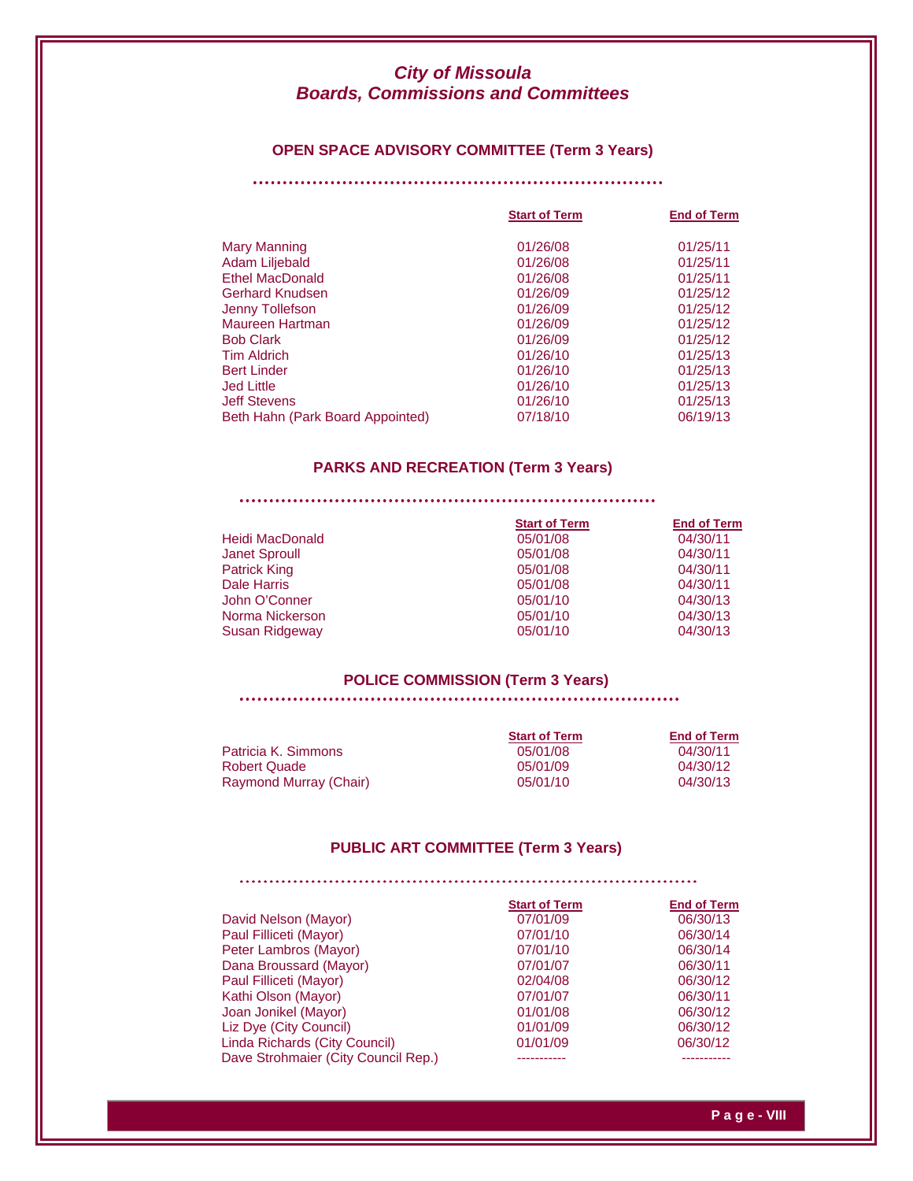## **OPEN SPACE ADVISORY COMMITTEE (Term 3 Years)**

|                                  | <b>Start of Term</b> | <b>End of Term</b> |
|----------------------------------|----------------------|--------------------|
| Mary Manning                     | 01/26/08             | 01/25/11           |
| Adam Liljebald                   | 01/26/08             | 01/25/11           |
| <b>Ethel MacDonald</b>           | 01/26/08             | 01/25/11           |
| Gerhard Knudsen                  | 01/26/09             | 01/25/12           |
| Jenny Tollefson                  | 01/26/09             | 01/25/12           |
| Maureen Hartman                  | 01/26/09             | 01/25/12           |
| <b>Bob Clark</b>                 | 01/26/09             | 01/25/12           |
| <b>Tim Aldrich</b>               | 01/26/10             | 01/25/13           |
| <b>Bert Linder</b>               | 01/26/10             | 01/25/13           |
| <b>Jed Little</b>                | 01/26/10             | 01/25/13           |
| <b>Jeff Stevens</b>              | 01/26/10             | 01/25/13           |
| Beth Hahn (Park Board Appointed) | 07/18/10             | 06/19/13           |

## **PARKS AND RECREATION (Term 3 Years)**

|                      | <b>Start of Term</b> | <b>End of Term</b> |
|----------------------|----------------------|--------------------|
| Heidi MacDonald      | 05/01/08             | 04/30/11           |
| <b>Janet Sproull</b> | 05/01/08             | 04/30/11           |
| <b>Patrick King</b>  | 05/01/08             | 04/30/11           |
| Dale Harris          | 05/01/08             | 04/30/11           |
| John O'Conner        | 05/01/10             | 04/30/13           |
| Norma Nickerson      | 05/01/10             | 04/30/13           |
| Susan Ridgeway       | 05/01/10             | 04/30/13           |
|                      |                      |                    |

## **POLICE COMMISSION (Term 3 Years)**

. . . . . . . . . . . . . . . . . . . . . . . . . . . . . . .

|                        | <b>Start of Term</b> | <b>End of Term</b> |
|------------------------|----------------------|--------------------|
| Patricia K. Simmons    | 05/01/08             | 04/30/11           |
| <b>Robert Quade</b>    | 05/01/09             | 04/30/12           |
| Raymond Murray (Chair) | 05/01/10             | 04/30/13           |

## **PUBLIC ART COMMITTEE (Term 3 Years)**

|                                     | <b>Start of Term</b> | <b>End of Term</b> |  |
|-------------------------------------|----------------------|--------------------|--|
| David Nelson (Mayor)                | 07/01/09             | 06/30/13           |  |
| Paul Filliceti (Mayor)              | 07/01/10             | 06/30/14           |  |
| Peter Lambros (Mayor)               | 07/01/10             | 06/30/14           |  |
| Dana Broussard (Mayor)              | 07/01/07             | 06/30/11           |  |
| Paul Filliceti (Mayor)              | 02/04/08             | 06/30/12           |  |
| Kathi Olson (Mayor)                 | 07/01/07             | 06/30/11           |  |
| Joan Jonikel (Mayor)                | 01/01/08             | 06/30/12           |  |
| Liz Dye (City Council)              | 01/01/09             | 06/30/12           |  |
| Linda Richards (City Council)       | 01/01/09             | 06/30/12           |  |
| Dave Strohmaier (City Council Rep.) |                      |                    |  |